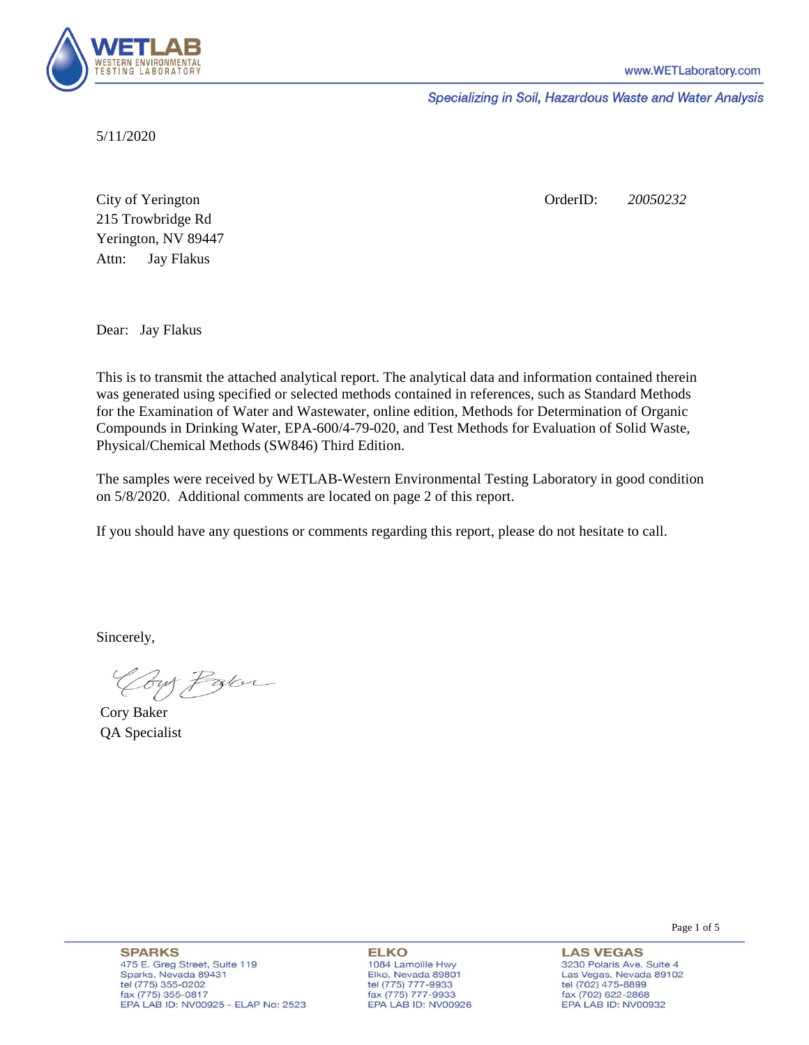

Specializing in Soil, Hazardous Waste and Water Analysis

5/11/2020

Attn: City of Yerington 215 Trowbridge Rd Jay Flakus Yerington, NV 89447 OrderID: *20050232*

Dear: Jay Flakus

This is to transmit the attached analytical report. The analytical data and information contained therein was generated using specified or selected methods contained in references, such as Standard Methods for the Examination of Water and Wastewater, online edition, Methods for Determination of Organic Compounds in Drinking Water, EPA-600/4-79-020, and Test Methods for Evaluation of Solid Waste, Physical/Chemical Methods (SW846) Third Edition.

The samples were received by WETLAB-Western Environmental Testing Laboratory in good condition on 5/8/2020. Additional comments are located on page 2 of this report.

If you should have any questions or comments regarding this report, please do not hesitate to call.

Sincerely,

Coy Palor

Cory Baker QA Specialist

Page 1 of 5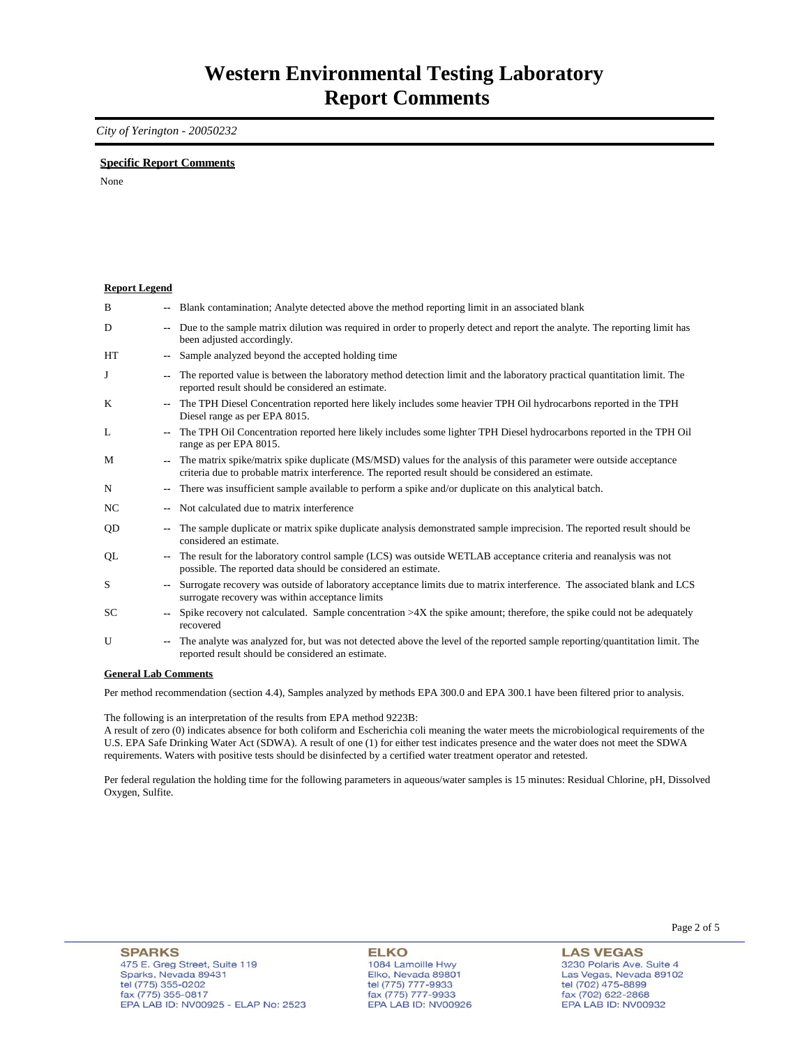## *City of Yerington - 20050232*

### **Specific Report Comments**

None

| <b>Report Legend</b>             |                          |                                                                                                                                                                                                                           |
|----------------------------------|--------------------------|---------------------------------------------------------------------------------------------------------------------------------------------------------------------------------------------------------------------------|
| B                                |                          | -- Blank contamination; Analyte detected above the method reporting limit in an associated blank                                                                                                                          |
| D                                | ۰.                       | Due to the sample matrix dilution was required in order to properly detect and report the analyte. The reporting limit has<br>been adjusted accordingly.                                                                  |
| HT                               | $\overline{\phantom{a}}$ | Sample analyzed beyond the accepted holding time                                                                                                                                                                          |
| J                                | ۰.                       | The reported value is between the laboratory method detection limit and the laboratory practical quantitation limit. The<br>reported result should be considered an estimate.                                             |
| K                                | $-1$                     | The TPH Diesel Concentration reported here likely includes some heavier TPH Oil hydrocarbons reported in the TPH<br>Diesel range as per EPA 8015.                                                                         |
| L                                | ۰.                       | The TPH Oil Concentration reported here likely includes some lighter TPH Diesel hydrocarbons reported in the TPH Oil<br>range as per EPA 8015.                                                                            |
| M                                | $- -$                    | The matrix spike/matrix spike duplicate (MS/MSD) values for the analysis of this parameter were outside acceptance<br>criteria due to probable matrix interference. The reported result should be considered an estimate. |
| N                                | ۰.                       | There was insufficient sample available to perform a spike and/or duplicate on this analytical batch.                                                                                                                     |
| NC                               | $- -$                    | Not calculated due to matrix interference                                                                                                                                                                                 |
| QD                               | ۰.                       | The sample duplicate or matrix spike duplicate analysis demonstrated sample imprecision. The reported result should be<br>considered an estimate.                                                                         |
| QL                               | ۰.                       | The result for the laboratory control sample (LCS) was outside WETLAB acceptance criteria and reanalysis was not<br>possible. The reported data should be considered an estimate.                                         |
| S                                | $- -$                    | Surrogate recovery was outside of laboratory acceptance limits due to matrix interference. The associated blank and LCS<br>surrogate recovery was within acceptance limits                                                |
| SC                               | $\sim$                   | Spike recovery not calculated. Sample concentration $>4X$ the spike amount; therefore, the spike could not be adequately<br>recovered                                                                                     |
| U                                | ۰.                       | The analyte was analyzed for, but was not detected above the level of the reported sample reporting/quantitation limit. The<br>reported result should be considered an estimate.                                          |
| $\alpha$ if $\alpha$ is $\alpha$ |                          |                                                                                                                                                                                                                           |

#### **General Lab Comments**

Per method recommendation (section 4.4), Samples analyzed by methods EPA 300.0 and EPA 300.1 have been filtered prior to analysis.

The following is an interpretation of the results from EPA method 9223B:

A result of zero (0) indicates absence for both coliform and Escherichia coli meaning the water meets the microbiological requirements of the U.S. EPA Safe Drinking Water Act (SDWA). A result of one (1) for either test indicates presence and the water does not meet the SDWA requirements. Waters with positive tests should be disinfected by a certified water treatment operator and retested.

Per federal regulation the holding time for the following parameters in aqueous/water samples is 15 minutes: Residual Chlorine, pH, Dissolved Oxygen, Sulfite.

**ELKO** 1084 Lamoille Hwy Elko, Nevada 89801 tel (775) 777-9933<br>fax (775) 777-9933 EPA LAB ID: NV00926 Page 2 of 5

**LAS VEGAS** 3230 Polaris Ave. Suite 4 Las Vegas, Nevada 89102 tel (702) 475-8899<br>fax (702) 622-2868 EPA LAB ID: NV00932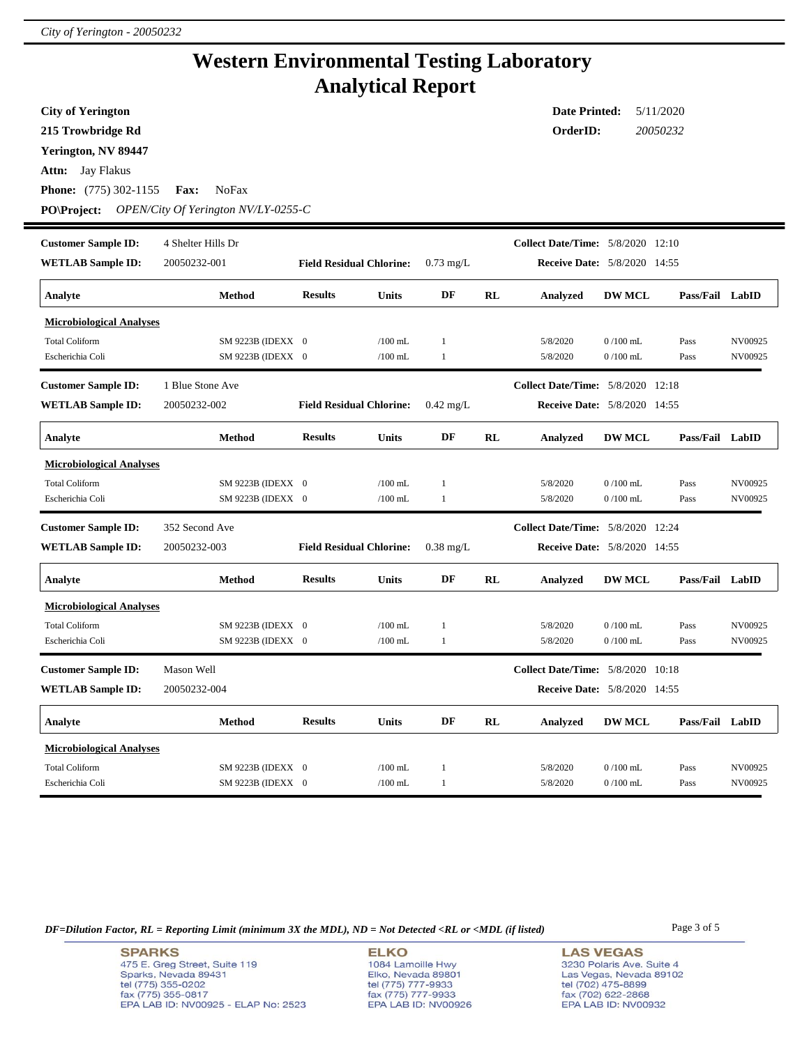## **Western Environmental Testing Laboratory Analytical Report**

**Attn:** Jay Flakus **City of Yerington 215 Trowbridge Rd Phone:** (775) 302-1155 **Fax:** NoFax **Date Printed:** 5/11/2020 **OrderID:** *20050232* **Yerington, NV 89447 PO\Project:** *OPEN/City Of Yerington NV/LY-0255-C* **WETLAB Sample ID:** 20050232-001 **Customer Sample ID: Receive Date:** 5/8/2020 14:55 4 Shelter Hills Dr **Collect Date/Time:** 5/8/2020 12:10 **Analyte Method Results Units DF RL Analyzed DW MCL Pass/Fail LabID Field Residual Chlorine:** 0.73 mg/L **Microbiological Analyses** Total Coliform SM 9223B (IDEXX 0 /100 mL 1 5/8/2020 0 /100 mL Pass NV00925 Escherichia Coli SM 9223B (IDEXX 0 /100 mL 1 5/8/2020 0 /100 mL Pass NV00925 **WETLAB Sample ID:** 20050232-002 **Customer Sample ID: Receive Date:** 5/8/2020 14:55 1 Blue Stone Ave **Collect Date/Time:** 5/8/2020 12:18 **Analyte Method Results Units DF RL Analyzed DW MCL Pass/Fail LabID Field Residual Chlorine:** 0.42 mg/L **Microbiological Analyses** Total Coliform SM 9223B (IDEXX 0 /100 mL 1 5/8/2020 0 /100 mL Pass NV00925 Escherichia Coli SM 9223B (IDEXX 0 /100 mL 1 5/8/2020 0 /100 mL Pass NV00925 **WETLAB Sample ID:** 20050232-003 **Customer Sample ID: Receive Date:** 5/8/2020 14:55 352 Second Ave **Collect Date/Time:** 5/8/2020 12:24 **Analyte Method Results Units DF RL Analyzed DW MCL Pass/Fail LabID Field Residual Chlorine:** 0.38 mg/L **Microbiological Analyses** Total Coliform SM 9223B (IDEXX 0 /100 mL 1 5/8/2020 0 /100 mL Pass NV00925 Escherichia Coli SM 9223B (IDEXX 0 /100 mL 1 5/8/2020 0 /100 mL Pass NV00925 **WETLAB Sample ID:** 20050232-004 **Customer Sample ID: Receive Date:** 5/8/2020 14:55 Mason Well **Collect Date/Time:** 5/8/2020 10:18 **Analyte Method Results Units DF RL Analyzed DW MCL Pass/Fail LabID Microbiological Analyses** Total Coliform SM 9223B (IDEXX 0 /100 mL 1 5/8/2020 0 /100 mL Pass NV00925 Escherichia Coli SM 9223B (IDEXX 0 /100 mL 1 5/8/2020 0 /100 mL Pass NV00925

*DF=Dilution Factor, RL = Reporting Limit (minimum 3X the MDL), ND = Not Detected <RL or <MDL (if listed)* Page 3 of 5

**SPARKS** 475 E. Greg Street, Suite 119 Sparks, Nevada 89431 tel (775) 355-0202 fax (775) 355-0817 EPA LAB ID: NV00925 - ELAP No: 2523

**ELKO** 1084 Lamoille Hwy Elko, Nevada 89801 tel (775) 777-9933<br>fax (775) 777-9933 EPA LAB ID: NV00926

**LAS VEGAS** 3230 Polaris Ave. Suite 4 Las Vegas, Nevada 89102 tel (702) 475-8899<br>fax (702) 622-2868 EPA LAB ID: NV00932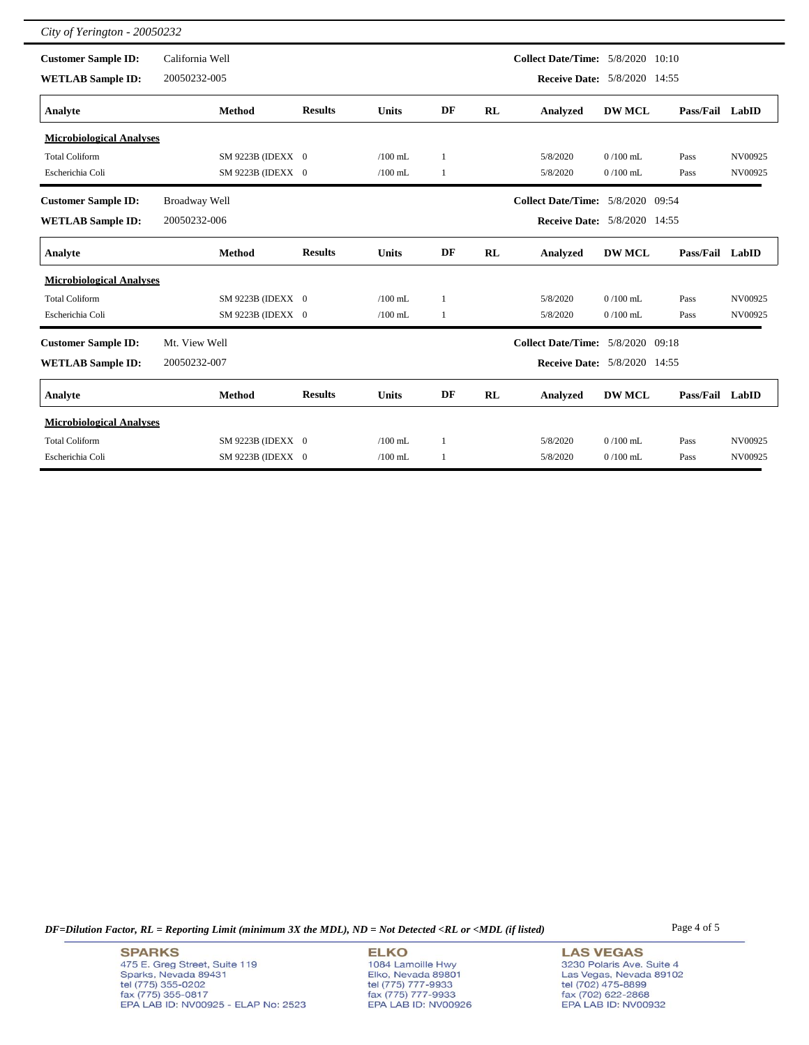| City of Yerington - 20050232    |                   |                |              |    |           |                                          |               |                 |         |
|---------------------------------|-------------------|----------------|--------------|----|-----------|------------------------------------------|---------------|-----------------|---------|
| <b>Customer Sample ID:</b>      | California Well   |                |              |    |           | <b>Collect Date/Time:</b> 5/8/2020 10:10 |               |                 |         |
| <b>WETLAB Sample ID:</b>        | 20050232-005      |                |              |    |           | <b>Receive Date:</b> 5/8/2020 14:55      |               |                 |         |
| Analyte                         | <b>Method</b>     | <b>Results</b> | <b>Units</b> | DF | <b>RL</b> | <b>Analyzed</b>                          | <b>DW MCL</b> | Pass/Fail LabID |         |
| <b>Microbiological Analyses</b> |                   |                |              |    |           |                                          |               |                 |         |
| <b>Total Coliform</b>           | SM 9223B (IDEXX 0 |                | $/100$ mL    | 1  |           | 5/8/2020                                 | $0/100$ mL    | Pass            | NV00925 |
| Escherichia Coli                | SM 9223B (IDEXX 0 |                | $/100$ mL    | 1  |           | 5/8/2020                                 | $0/100$ mL    | Pass            | NV00925 |
| <b>Customer Sample ID:</b>      | Broadway Well     |                |              |    |           | <b>Collect Date/Time: 5/8/2020 09:54</b> |               |                 |         |
| <b>WETLAB Sample ID:</b>        | 20050232-006      |                |              |    |           | Receive Date: 5/8/2020 14:55             |               |                 |         |
| Analyte                         | <b>Method</b>     | <b>Results</b> | <b>Units</b> | DF | <b>RL</b> | <b>Analyzed</b>                          | <b>DW MCL</b> | Pass/Fail LabID |         |
| <b>Microbiological Analyses</b> |                   |                |              |    |           |                                          |               |                 |         |
| <b>Total Coliform</b>           | SM 9223B (IDEXX 0 |                | $/100$ mL    | 1  |           | 5/8/2020                                 | $0/100$ mL    | Pass            | NV00925 |
| Escherichia Coli                | SM 9223B (IDEXX 0 |                | $/100$ mL    | 1  |           | 5/8/2020                                 | $0/100$ mL    | Pass            | NV00925 |
| <b>Customer Sample ID:</b>      | Mt. View Well     |                |              |    |           | <b>Collect Date/Time: 5/8/2020 09:18</b> |               |                 |         |
| <b>WETLAB Sample ID:</b>        | 20050232-007      |                |              |    |           | <b>Receive Date:</b> 5/8/2020 14:55      |               |                 |         |
| Analyte                         | <b>Method</b>     | <b>Results</b> | <b>Units</b> | DF | <b>RL</b> | Analyzed                                 | <b>DW MCL</b> | Pass/Fail LabID |         |
| <b>Microbiological Analyses</b> |                   |                |              |    |           |                                          |               |                 |         |
| <b>Total Coliform</b>           | SM 9223B (IDEXX 0 |                | $/100$ mL    | 1  |           | 5/8/2020                                 | $0/100$ mL    | Pass            | NV00925 |
| Escherichia Coli                | SM 9223B (IDEXX 0 |                | $/100$ mL    | 1  |           | 5/8/2020                                 | $0/100$ mL    | Pass            | NV00925 |

*DF=Dilution Factor, RL = Reporting Limit (minimum 3X the MDL), ND = Not Detected <RL or <MDL (if listed)* Page 4 of 5

**ELKO** 1084 Lamoille Hwy<br>Elko, Nevada 89801<br>tel (775) 777-9933<br>fax (775) 777-9933<br>EPA LAB ID: NV00926

**LAS VEGAS** 3230 Polaris Ave. Suite 4 S250 Polaris Ave. Suite<br>Las Vegas, Nevada 89102<br>tel (702) 475-8899<br>fax (702) 622-2868<br>EPA LAB ID: NV00932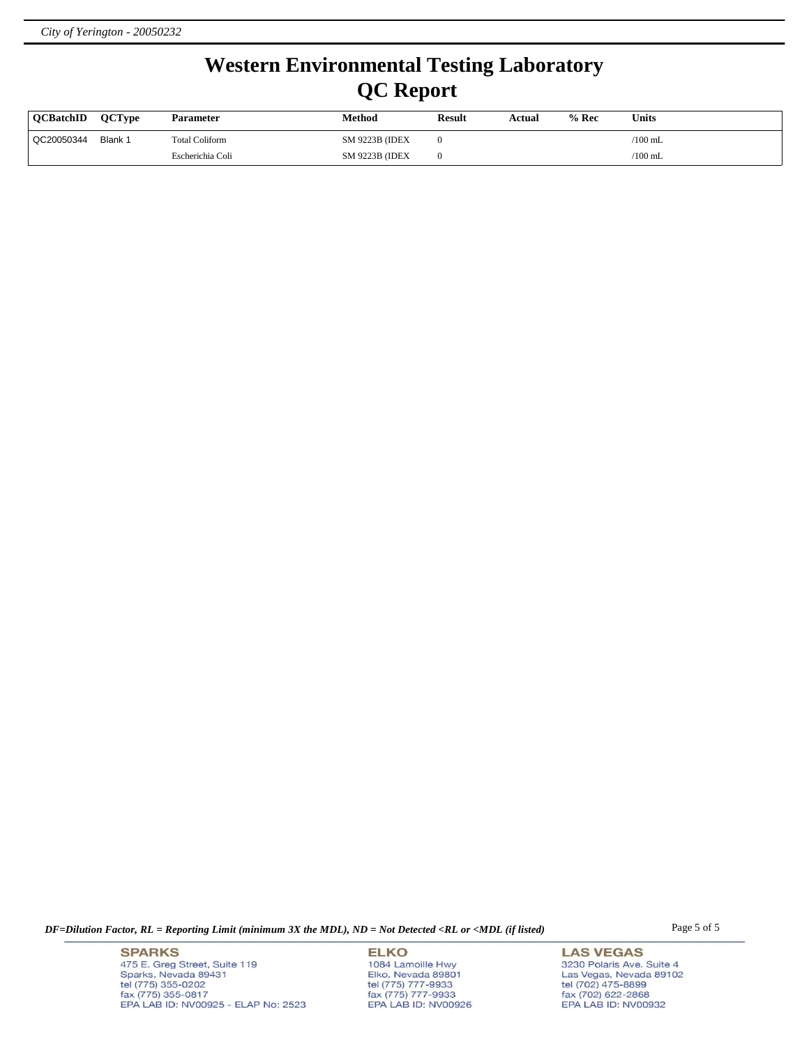# **Western Environmental Testing Laboratory QC Report**

| <b>OCBatchID</b> | <b>OCTvpe</b> | <b>Parameter</b> | Method                 | <b>Result</b> | Actual | $%$ Rec | <b>Units</b> |
|------------------|---------------|------------------|------------------------|---------------|--------|---------|--------------|
| QC20050344       | Blank 1       | Total Coliform   | <b>SM 9223B (IDEX)</b> |               |        |         | $/100$ mL    |
|                  |               | Escherichia Coli | <b>SM 9223B (IDEX)</b> |               |        |         | $/100$ mL    |

*DF=Dilution Factor, RL = Reporting Limit (minimum 3X the MDL), ND = Not Detected <RL or <MDL (if listed)* Page 5 of 5

**SPARKS** 475 E. Greg Street, Suite 119 Sparks, Nevada 89431<br>tel (775) 355-0202<br>fax (775) 355-0817 EPA LAB ID: NV00925 - ELAP No: 2523

**ELKO** 1084 Lamoille Hwy Elko, Nevada 89801<br>tel (775) 777-9933<br>fax (775) 777-9933 EPA LAB ID: NV00926

**LAS VEGAS** 3230 Polaris Ave. Suite 4 Las Vegas, Nevada 89102<br>tel (702) 475-8899<br>fax (702) 622-2868<br>EPA LAB ID: NV00932